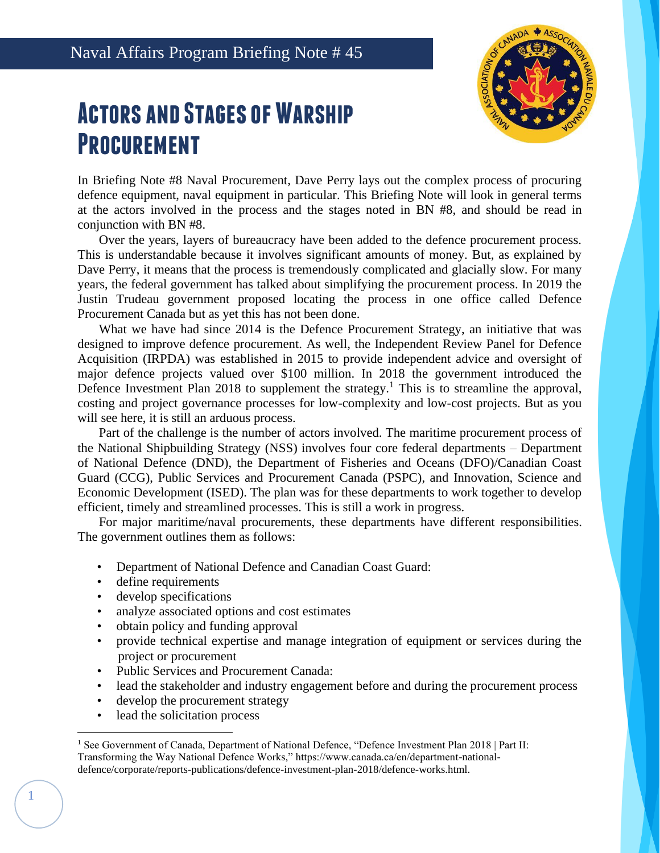# **Actors and Stages of Warship Procurement**



In Briefing Note #8 Naval Procurement, Dave Perry lays out the complex process of procuring defence equipment, naval equipment in particular. This Briefing Note will look in general terms at the actors involved in the process and the stages noted in BN #8, and should be read in conjunction with BN #8.

Over the years, layers of bureaucracy have been added to the defence procurement process. This is understandable because it involves significant amounts of money. But, as explained by Dave Perry, it means that the process is tremendously complicated and glacially slow. For many years, the federal government has talked about simplifying the procurement process. In 2019 the Justin Trudeau government proposed locating the process in one office called Defence Procurement Canada but as yet this has not been done.

What we have had since 2014 is the Defence Procurement Strategy, an initiative that was designed to improve defence procurement. As well, the Independent Review Panel for Defence Acquisition (IRPDA) was established in 2015 to provide independent advice and oversight of major defence projects valued over \$100 million. In 2018 the government introduced the Defence Investment Plan 2018 to supplement the strategy.<sup>1</sup> This is to streamline the approval, costing and project governance processes for low-complexity and low-cost projects. But as you will see here, it is still an arduous process.

Part of the challenge is the number of actors involved. The maritime procurement process of the National Shipbuilding Strategy (NSS) involves four core federal departments – Department of National Defence (DND), the Department of Fisheries and Oceans (DFO)/Canadian Coast Guard (CCG), Public Services and Procurement Canada (PSPC), and Innovation, Science and Economic Development (ISED). The plan was for these departments to work together to develop efficient, timely and streamlined processes. This is still a work in progress.

For major maritime/naval procurements, these departments have different responsibilities. The government outlines them as follows:

- Department of National Defence and Canadian Coast Guard:
- define requirements
- develop specifications
- analyze associated options and cost estimates
- obtain policy and funding approval
- provide technical expertise and manage integration of equipment or services during the project or procurement
- Public Services and Procurement Canada:
- lead the stakeholder and industry engagement before and during the procurement process
- develop the procurement strategy
- lead the solicitation process

1

<sup>&</sup>lt;sup>1</sup> See Government of Canada, Department of National Defence, "Defence Investment Plan 2018 | Part II: Transforming the Way National Defence Works," https://www.canada.ca/en/department-nationaldefence/corporate/reports-publications/defence-investment-plan-2018/defence-works.html.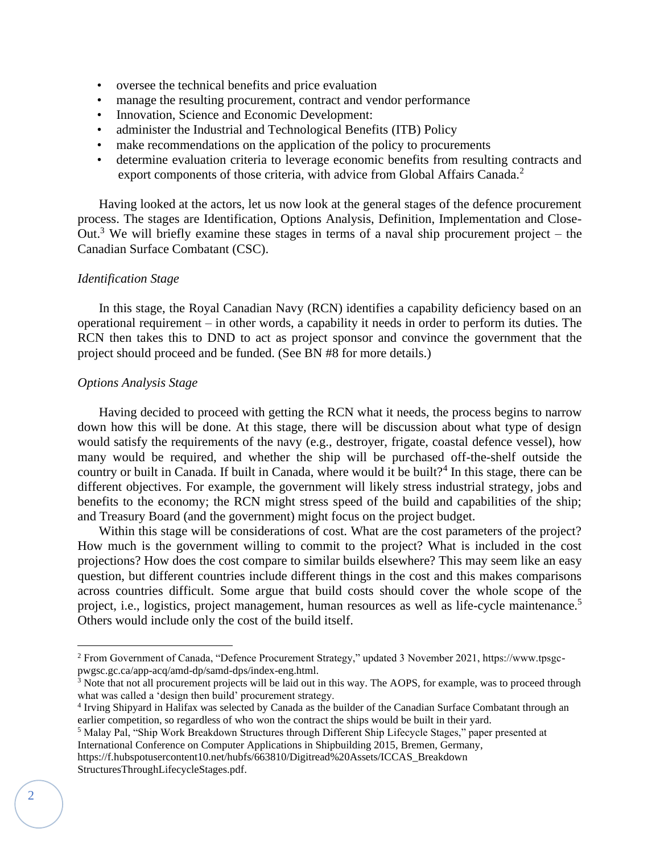- oversee the technical benefits and price evaluation
- manage the resulting procurement, contract and vendor performance
- Innovation, Science and Economic Development:
- administer the Industrial and Technological Benefits (ITB) Policy
- make recommendations on the application of the policy to procurements
- determine evaluation criteria to leverage economic benefits from resulting contracts and export components of those criteria, with advice from Global Affairs Canada.<sup>2</sup>

Having looked at the actors, let us now look at the general stages of the defence procurement process. The stages are Identification, Options Analysis, Definition, Implementation and Close-Out.<sup>3</sup> We will briefly examine these stages in terms of a naval ship procurement project – the Canadian Surface Combatant (CSC).

## *Identification Stage*

In this stage, the Royal Canadian Navy (RCN) identifies a capability deficiency based on an operational requirement – in other words, a capability it needs in order to perform its duties. The RCN then takes this to DND to act as project sponsor and convince the government that the project should proceed and be funded. (See BN #8 for more details.)

#### *Options Analysis Stage*

Having decided to proceed with getting the RCN what it needs, the process begins to narrow down how this will be done. At this stage, there will be discussion about what type of design would satisfy the requirements of the navy (e.g., destroyer, frigate, coastal defence vessel), how many would be required, and whether the ship will be purchased off-the-shelf outside the country or built in Canada. If built in Canada, where would it be built?<sup>4</sup> In this stage, there can be different objectives. For example, the government will likely stress industrial strategy, jobs and benefits to the economy; the RCN might stress speed of the build and capabilities of the ship; and Treasury Board (and the government) might focus on the project budget.

Within this stage will be considerations of cost. What are the cost parameters of the project? How much is the government willing to commit to the project? What is included in the cost projections? How does the cost compare to similar builds elsewhere? This may seem like an easy question, but different countries include different things in the cost and this makes comparisons across countries difficult. Some argue that build costs should cover the whole scope of the project, i.e., logistics, project management, human resources as well as life-cycle maintenance.<sup>5</sup> Others would include only the cost of the build itself.

<sup>2</sup> From Government of Canada, "Defence Procurement Strategy," updated 3 November 2021, https://www.tpsgcpwgsc.gc.ca/app-acq/amd-dp/samd-dps/index-eng.html.

<sup>&</sup>lt;sup>3</sup> Note that not all procurement projects will be laid out in this way. The AOPS, for example, was to proceed through what was called a 'design then build' procurement strategy.

<sup>4</sup> Irving Shipyard in Halifax was selected by Canada as the builder of the Canadian Surface Combatant through an earlier competition, so regardless of who won the contract the ships would be built in their yard.

<sup>5</sup> Malay Pal, "Ship Work Breakdown Structures through Different Ship Lifecycle Stages," paper presented at International Conference on Computer Applications in Shipbuilding 2015, Bremen, Germany,

https://f.hubspotusercontent10.net/hubfs/663810/Digitread%20Assets/ICCAS\_Breakdown StructuresThroughLifecycleStages.pdf.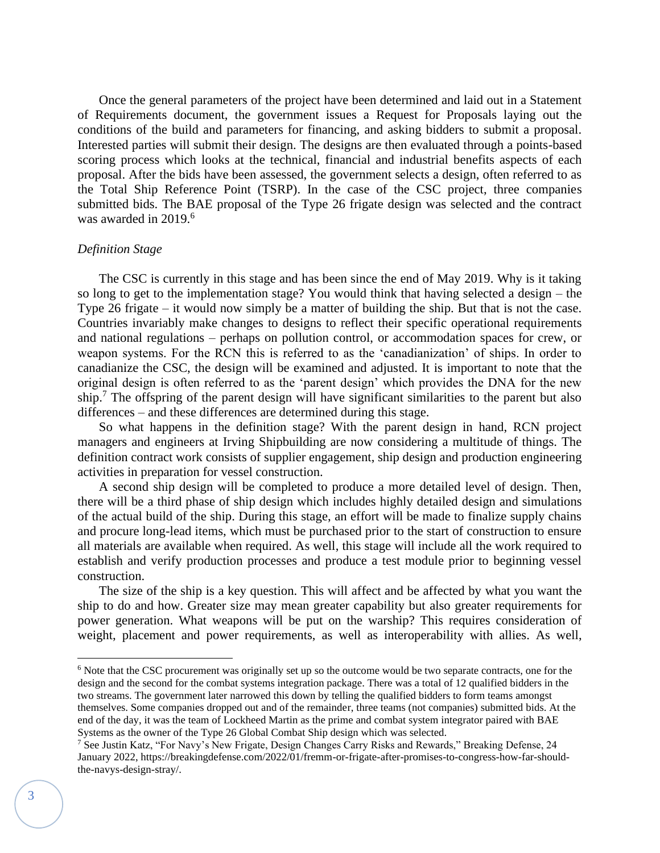Once the general parameters of the project have been determined and laid out in a Statement of Requirements document, the government issues a Request for Proposals laying out the conditions of the build and parameters for financing, and asking bidders to submit a proposal. Interested parties will submit their design. The designs are then evaluated through a points-based scoring process which looks at the technical, financial and industrial benefits aspects of each proposal. After the bids have been assessed, the government selects a design, often referred to as the Total Ship Reference Point (TSRP). In the case of the CSC project, three companies submitted bids. The BAE proposal of the Type 26 frigate design was selected and the contract was awarded in 2019.<sup>6</sup>

# *Definition Stage*

The CSC is currently in this stage and has been since the end of May 2019. Why is it taking so long to get to the implementation stage? You would think that having selected a design – the Type 26 frigate – it would now simply be a matter of building the ship. But that is not the case. Countries invariably make changes to designs to reflect their specific operational requirements and national regulations – perhaps on pollution control, or accommodation spaces for crew, or weapon systems. For the RCN this is referred to as the 'canadianization' of ships. In order to canadianize the CSC, the design will be examined and adjusted. It is important to note that the original design is often referred to as the 'parent design' which provides the DNA for the new ship.<sup>7</sup> The offspring of the parent design will have significant similarities to the parent but also differences – and these differences are determined during this stage.

So what happens in the definition stage? With the parent design in hand, RCN project managers and engineers at Irving Shipbuilding are now considering a multitude of things. The definition contract work consists of supplier engagement, ship design and production engineering activities in preparation for vessel construction.

A second ship design will be completed to produce a more detailed level of design. Then, there will be a third phase of ship design which includes highly detailed design and simulations of the actual build of the ship. During this stage, an effort will be made to finalize supply chains and procure long-lead items, which must be purchased prior to the start of construction to ensure all materials are available when required. As well, this stage will include all the work required to establish and verify production processes and produce a test module prior to beginning vessel construction.

The size of the ship is a key question. This will affect and be affected by what you want the ship to do and how. Greater size may mean greater capability but also greater requirements for power generation. What weapons will be put on the warship? This requires consideration of weight, placement and power requirements, as well as interoperability with allies. As well,

<sup>&</sup>lt;sup>6</sup> Note that the CSC procurement was originally set up so the outcome would be two separate contracts, one for the design and the second for the combat systems integration package. There was a total of 12 qualified bidders in the two streams. The government later narrowed this down by telling the qualified bidders to form teams amongst themselves. Some companies dropped out and of the remainder, three teams (not companies) submitted bids. At the end of the day, it was the team of Lockheed Martin as the prime and combat system integrator paired with BAE Systems as the owner of the Type 26 Global Combat Ship design which was selected.

<sup>7</sup> See Justin Katz, "For Navy's New Frigate, Design Changes Carry Risks and Rewards," Breaking Defense, 24 January 2022, https://breakingdefense.com/2022/01/fremm-or-frigate-after-promises-to-congress-how-far-shouldthe-navys-design-stray/.